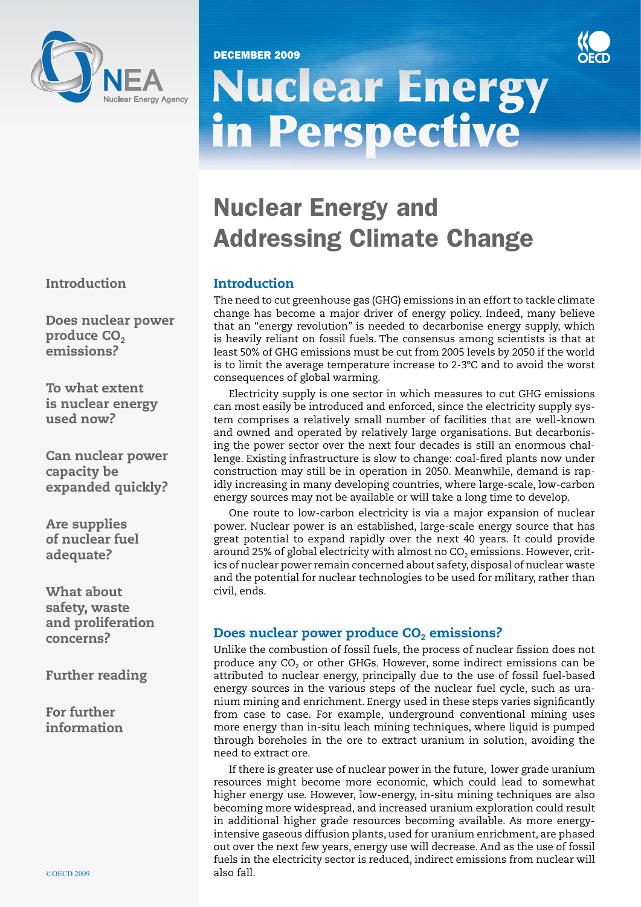



# Nuclear Energy in Perspective december 2009

## Nuclear Energy and Addressing Climate Change

#### Introduction

The need to cut greenhouse gas (GHG) emissions in an effort to tackle climate change has become a major driver of energy policy. Indeed, many believe that an "energy revolution" is needed to decarbonise energy supply, which is heavily reliant on fossil fuels. The consensus among scientists is that at least 50% of GHG emissions must be cut from 2005 levels by 2050 if the world is to limit the average temperature increase to 2-3ºC and to avoid the worst consequences of global warming.

Electricity supply is one sector in which measures to cut GHG emissions can most easily be introduced and enforced, since the electricity supply system comprises a relatively small number of facilities that are well-known and owned and operated by relatively large organisations. But decarbonising the power sector over the next four decades is still an enormous challenge. Existing infrastructure is slow to change: coal-fired plants now under construction may still be in operation in 2050. Meanwhile, demand is rapidly increasing in many developing countries, where large-scale, low-carbon energy sources may not be available or will take a long time to develop.

One route to low-carbon electricity is via a major expansion of nuclear power. Nuclear power is an established, large-scale energy source that has great potential to expand rapidly over the next 40 years. It could provide around 25% of global electricity with almost no  $CO<sub>2</sub>$  emissions. However, critics of nuclear power remain concerned about safety, disposal of nuclear waste and the potential for nuclear technologies to be used for military, rather than civil, ends.

### Does nuclear power produce CO<sub>2</sub> emissions?

Unlike the combustion of fossil fuels, the process of nuclear fission does not produce any  $CO<sub>2</sub>$  or other GHGs. However, some indirect emissions can be attributed to nuclear energy, principally due to the use of fossil fuel-based energy sources in the various steps of the nuclear fuel cycle, such as uranium mining and enrichment. Energy used in these steps varies significantly from case to case. For example, underground conventional mining uses more energy than in-situ leach mining techniques, where liquid is pumped through boreholes in the ore to extract uranium in solution, avoiding the need to extract ore.

If there is greater use of nuclear power in the future, lower grade uranium resources might become more economic, which could lead to somewhat higher energy use. However, low-energy, in-situ mining techniques are also becoming more widespread, and increased uranium exploration could result in additional higher grade resources becoming available. As more energyintensive gaseous diffusion plants, used for uranium enrichment, are phased out over the next few years, energy use will decrease. And as the use of fossil fuels in the electricity sector is reduced, indirect emissions from nuclear will also fall.

Introduction

Does nuclear power produce CO<sub>2</sub> emissions?

To what extent is nuclear energy used now?

Can nuclear power capacity be expanded quickly?

Are supplies of nuclear fuel adequate?

What about safety, waste and proliferation concerns?

Further reading

For further information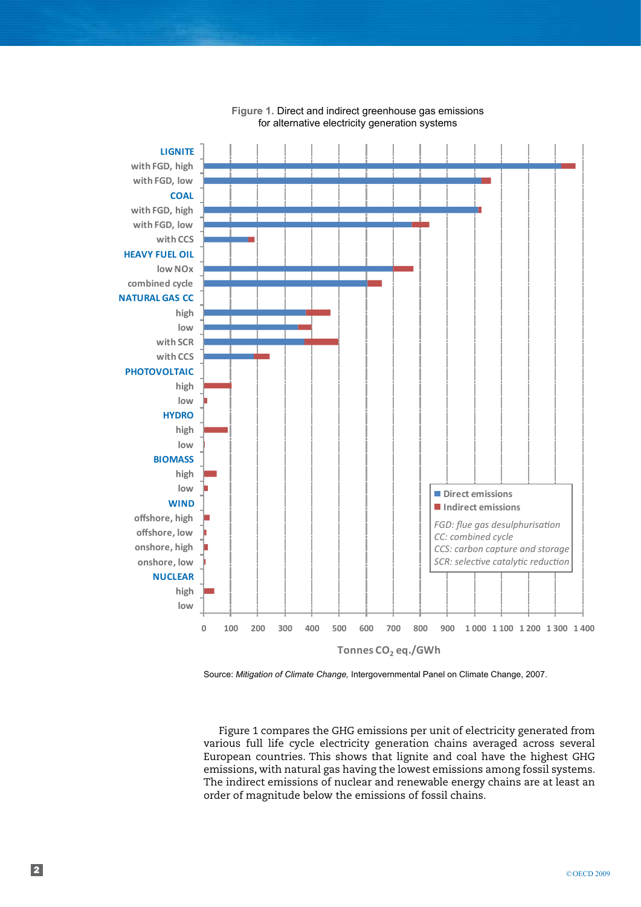

**Figure 1.** Direct and indirect greenhouse gas emissions for alternative electricity generation systems

Source: *Mitigation of Climate Change,* Intergovernmental Panel on Climate Change, 2007.

Figure 1 compares the GHG emissions per unit of electricity generated from various full life cycle electricity generation chains averaged across several European countries. This shows that lignite and coal have the highest GHG emissions, with natural gas having the lowest emissions among fossil systems. The indirect emissions of nuclear and renewable energy chains are at least an order of magnitude below the emissions of fossil chains.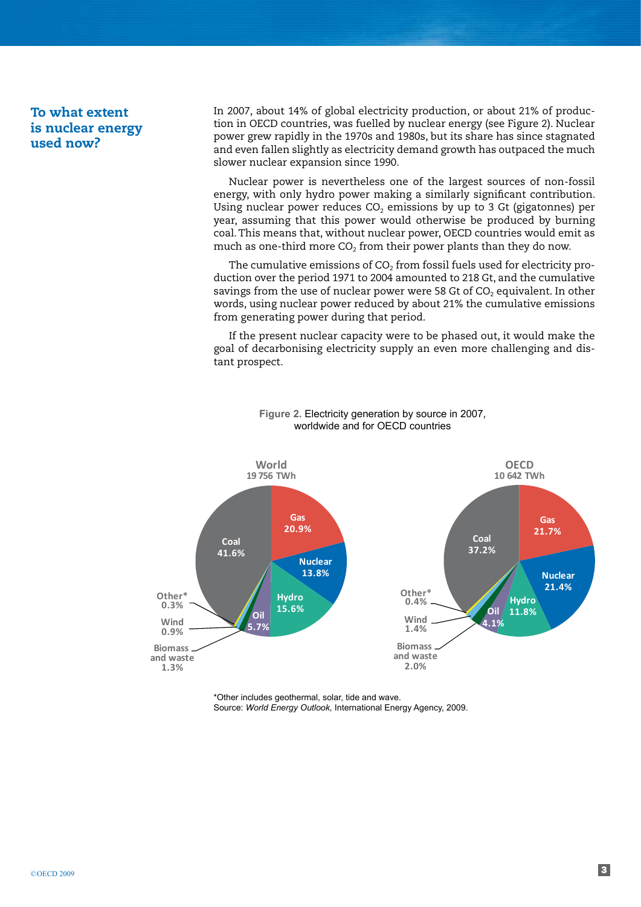#### To what extent is nuclear energy used now?

In 2007, about 14% of global electricity production, or about 21% of production in OECD countries, was fuelled by nuclear energy (see Figure 2). Nuclear power grew rapidly in the 1970s and 1980s, but its share has since stagnated and even fallen slightly as electricity demand growth has outpaced the much slower nuclear expansion since 1990.

Nuclear power is nevertheless one of the largest sources of non-fossil energy, with only hydro power making a similarly significant contribution. Using nuclear power reduces  $CO<sub>2</sub>$  emissions by up to 3 Gt (gigatonnes) per year, assuming that this power would otherwise be produced by burning coal. This means that, without nuclear power, OECD countries would emit as much as one-third more  $CO<sub>2</sub>$  from their power plants than they do now.

The cumulative emissions of  $CO<sub>2</sub>$  from fossil fuels used for electricity production over the period 1971 to 2004 amounted to 218 Gt, and the cumulative savings from the use of nuclear power were 58 Gt of  $CO<sub>2</sub>$  equivalent. In other words, using nuclear power reduced by about 21% the cumulative emissions from generating power during that period.

If the present nuclear capacity were to be phased out, it would make the goal of decarbonising electricity supply an even more challenging and distant prospect.



**Figure 2.** Electricity generation by source in 2007, worldwide and for OECD countries

\*Other includes geothermal, solar, tide and wave. Source: *World Energy Outlook,* International Energy Agency, 2009.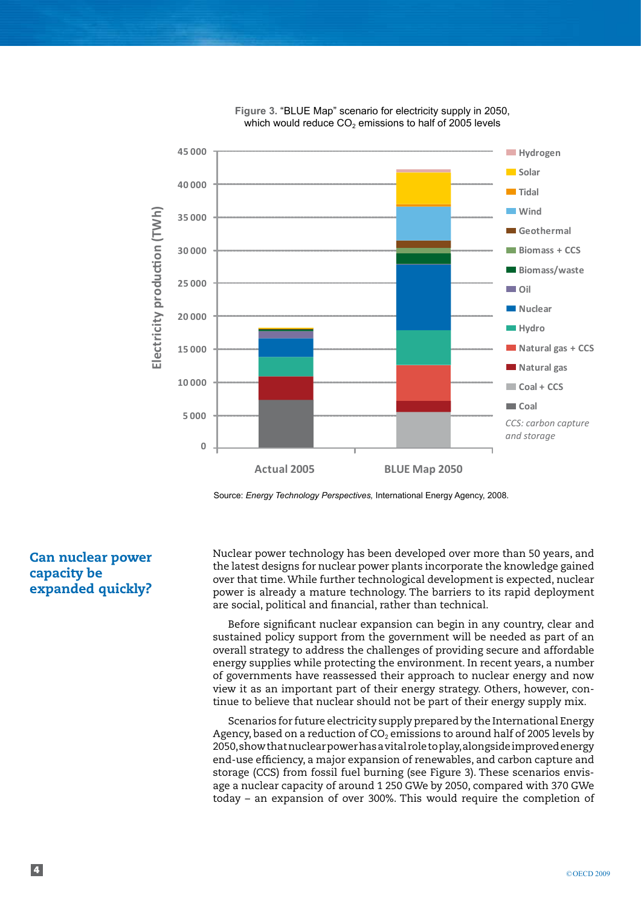

**Figure 3.** "BLUE Map" scenario for electricity supply in 2050, which would reduce  $CO<sub>2</sub>$  emissions to half of 2005 levels

Source: *Energy Technology Perspectives,* International Energy Agency, 2008.

Nuclear power technology has been developed over more than 50 years, and the latest designs for nuclear power plants incorporate the knowledge gained over that time. While further technological development is expected, nuclear power is already a mature technology. The barriers to its rapid deployment are social, political and financial, rather than technical.

Before significant nuclear expansion can begin in any country, clear and sustained policy support from the government will be needed as part of an overall strategy to address the challenges of providing secure and affordable energy supplies while protecting the environment. In recent years, a number of governments have reassessed their approach to nuclear energy and now view it as an important part of their energy strategy. Others, however, continue to believe that nuclear should not be part of their energy supply mix.

Scenarios for future electricity supply prepared by the International Energy Agency, based on a reduction of  $CO<sub>2</sub>$  emissions to around half of 2005 levels by 2050, show that nuclear power has a vital role to play, alongside improved energy end-use efficiency, a major expansion of renewables, and carbon capture and storage (CCS) from fossil fuel burning (see Figure 3). These scenarios envisage a nuclear capacity of around 1 250 GWe by 2050, compared with 370 GWe today – an expansion of over 300%. This would require the completion of

#### Can nuclear power capacity be expanded quickly?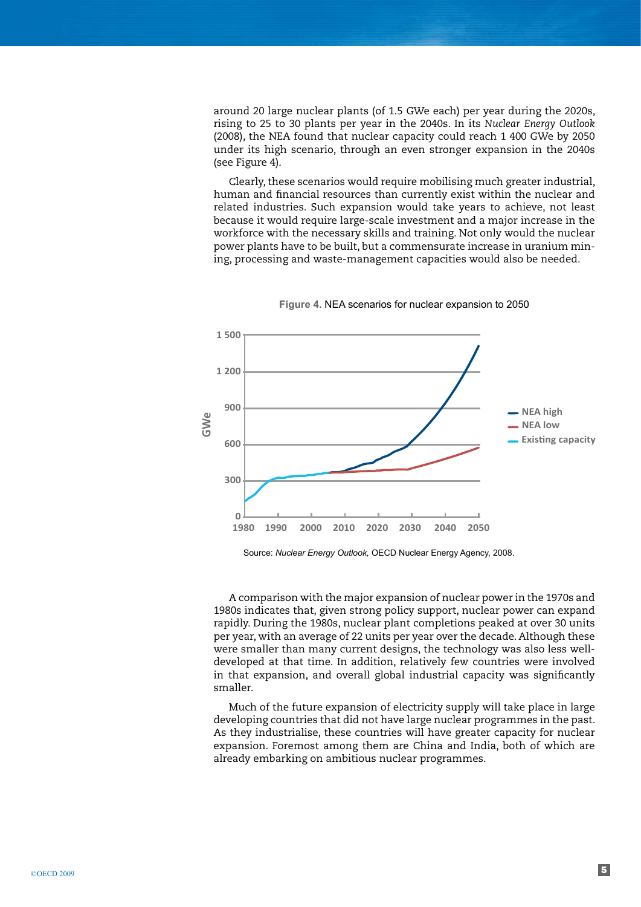around 20 large nuclear plants (of 1.5 GWe each) per year during the 2020s, rising to 25 to 30 plants per year in the 2040s. In its *Nuclear Energy Outlook* (2008), the NEA found that nuclear capacity could reach 1 400 GWe by 2050 under its high scenario, through an even stronger expansion in the 2040s (see Figure 4).

Clearly, these scenarios would require mobilising much greater industrial, human and financial resources than currently exist within the nuclear and related industries. Such expansion would take years to achieve, not least because it would require large-scale investment and a major increase in the workforce with the necessary skills and training. Not only would the nuclear power plants have to be built, but a commensurate increase in uranium mining, processing and waste-management capacities would also be needed.



**Figure 4.** NEA scenarios for nuclear expansion to 2050

Source: *Nuclear Energy Outlook,* OECD Nuclear Energy Agency, 2008.

A comparison with the major expansion of nuclear power in the 1970s and 1980s indicates that, given strong policy support, nuclear power can expand rapidly. During the 1980s, nuclear plant completions peaked at over 30 units per year, with an average of 22 units per year over the decade. Although these were smaller than many current designs, the technology was also less welldeveloped at that time. In addition, relatively few countries were involved in that expansion, and overall global industrial capacity was significantly smaller.

Much of the future expansion of electricity supply will take place in large developing countries that did not have large nuclear programmes in the past. As they industrialise, these countries will have greater capacity for nuclear expansion. Foremost among them are China and India, both of which are already embarking on ambitious nuclear programmes.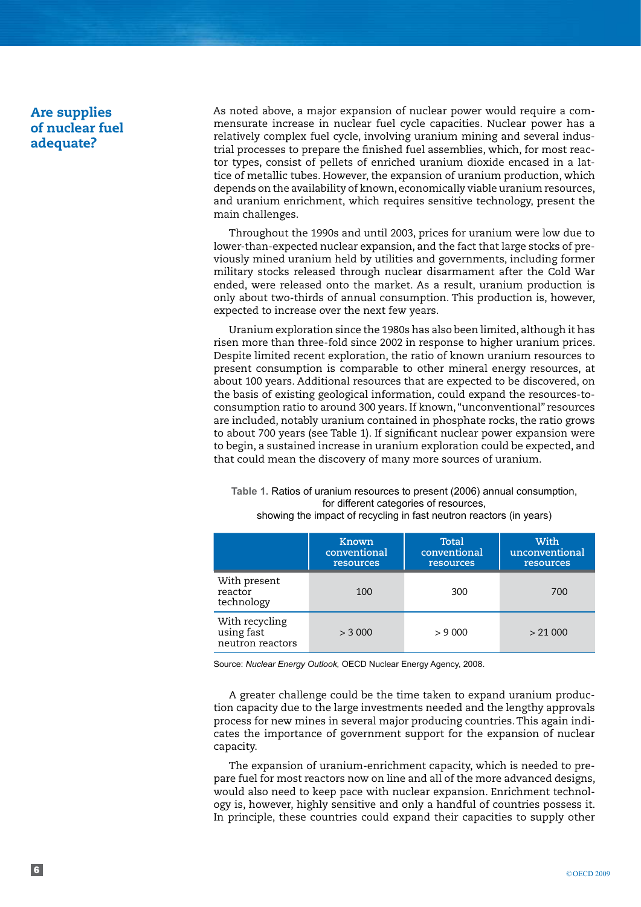#### Are supplies of nuclear fuel adequate?

As noted above, a major expansion of nuclear power would require a commensurate increase in nuclear fuel cycle capacities. Nuclear power has a relatively complex fuel cycle, involving uranium mining and several industrial processes to prepare the finished fuel assemblies, which, for most reactor types, consist of pellets of enriched uranium dioxide encased in a lattice of metallic tubes. However, the expansion of uranium production, which depends on the availability of known, economically viable uranium resources, and uranium enrichment, which requires sensitive technology, present the main challenges.

Throughout the 1990s and until 2003, prices for uranium were low due to lower-than-expected nuclear expansion, and the fact that large stocks of previously mined uranium held by utilities and governments, including former military stocks released through nuclear disarmament after the Cold War ended, were released onto the market. As a result, uranium production is only about two-thirds of annual consumption. This production is, however, expected to increase over the next few years.

Uranium exploration since the 1980s has also been limited, although it has risen more than three-fold since 2002 in response to higher uranium prices. Despite limited recent exploration, the ratio of known uranium resources to present consumption is comparable to other mineral energy resources, at about 100 years. Additional resources that are expected to be discovered, on the basis of existing geological information, could expand the resources-toconsumption ratio to around 300 years. If known, "unconventional" resources are included, notably uranium contained in phosphate rocks, the ratio grows to about 700 years (see Table 1). If significant nuclear power expansion were to begin, a sustained increase in uranium exploration could be expected, and that could mean the discovery of many more sources of uranium.

|                                                  | <b>Known</b><br>conventional<br>resources | Total<br>conventional<br>resources | With<br>unconventional<br>resources |
|--------------------------------------------------|-------------------------------------------|------------------------------------|-------------------------------------|
| With present<br>reactor<br>technology            | 100                                       | 300                                | 700                                 |
| With recycling<br>using fast<br>neutron reactors | > 3,000                                   | > 9000                             | > 21000                             |

for different categories of resources, showing the impact of recycling in fast neutron reactors (in years)

**Table 1.** Ratios of uranium resources to present (2006) annual consumption,

Source: *Nuclear Energy Outlook,* OECD Nuclear Energy Agency, 2008.

A greater challenge could be the time taken to expand uranium production capacity due to the large investments needed and the lengthy approvals process for new mines in several major producing countries. This again indicates the importance of government support for the expansion of nuclear capacity.

The expansion of uranium-enrichment capacity, which is needed to prepare fuel for most reactors now on line and all of the more advanced designs, would also need to keep pace with nuclear expansion. Enrichment technology is, however, highly sensitive and only a handful of countries possess it. In principle, these countries could expand their capacities to supply other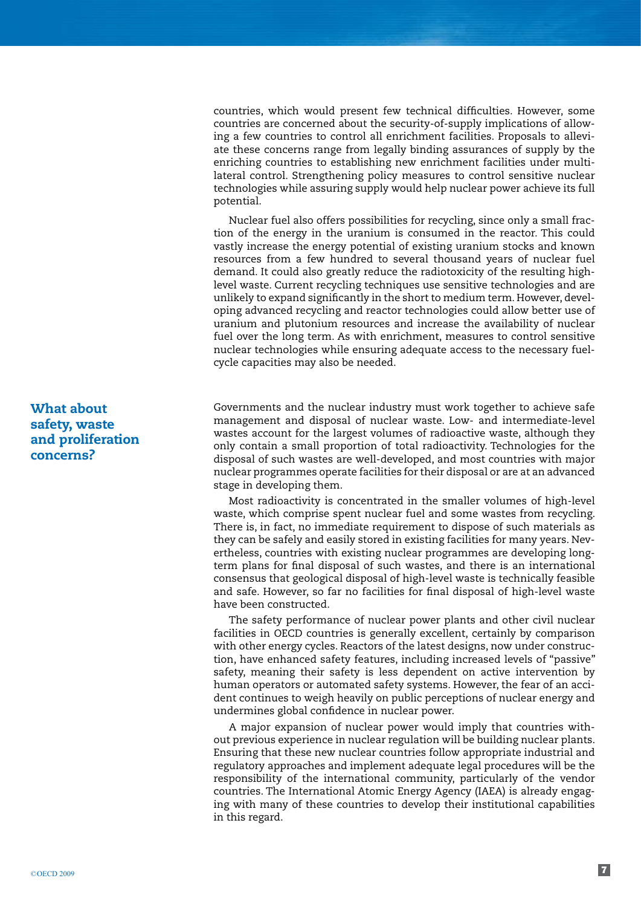countries, which would present few technical difficulties. However, some countries are concerned about the security-of-supply implications of allowing a few countries to control all enrichment facilities. Proposals to alleviate these concerns range from legally binding assurances of supply by the enriching countries to establishing new enrichment facilities under multilateral control. Strengthening policy measures to control sensitive nuclear technologies while assuring supply would help nuclear power achieve its full potential.

Nuclear fuel also offers possibilities for recycling, since only a small fraction of the energy in the uranium is consumed in the reactor. This could vastly increase the energy potential of existing uranium stocks and known resources from a few hundred to several thousand years of nuclear fuel demand. It could also greatly reduce the radiotoxicity of the resulting highlevel waste. Current recycling techniques use sensitive technologies and are unlikely to expand significantly in the short to medium term. However, developing advanced recycling and reactor technologies could allow better use of uranium and plutonium resources and increase the availability of nuclear fuel over the long term. As with enrichment, measures to control sensitive nuclear technologies while ensuring adequate access to the necessary fuelcycle capacities may also be needed.

Governments and the nuclear industry must work together to achieve safe management and disposal of nuclear waste. Low- and intermediate-level wastes account for the largest volumes of radioactive waste, although they only contain a small proportion of total radioactivity. Technologies for the disposal of such wastes are well-developed, and most countries with major nuclear programmes operate facilities for their disposal or are at an advanced stage in developing them.

Most radioactivity is concentrated in the smaller volumes of high-level waste, which comprise spent nuclear fuel and some wastes from recycling. There is, in fact, no immediate requirement to dispose of such materials as they can be safely and easily stored in existing facilities for many years. Nevertheless, countries with existing nuclear programmes are developing longterm plans for final disposal of such wastes, and there is an international consensus that geological disposal of high-level waste is technically feasible and safe. However, so far no facilities for final disposal of high-level waste have been constructed.

The safety performance of nuclear power plants and other civil nuclear facilities in OECD countries is generally excellent, certainly by comparison with other energy cycles. Reactors of the latest designs, now under construction, have enhanced safety features, including increased levels of "passive" safety, meaning their safety is less dependent on active intervention by human operators or automated safety systems. However, the fear of an accident continues to weigh heavily on public perceptions of nuclear energy and undermines global confidence in nuclear power.

A major expansion of nuclear power would imply that countries without previous experience in nuclear regulation will be building nuclear plants. Ensuring that these new nuclear countries follow appropriate industrial and regulatory approaches and implement adequate legal procedures will be the responsibility of the international community, particularly of the vendor countries. The International Atomic Energy Agency (IAEA) is already engaging with many of these countries to develop their institutional capabilities in this regard.

#### What about safety, waste and proliferation concerns?